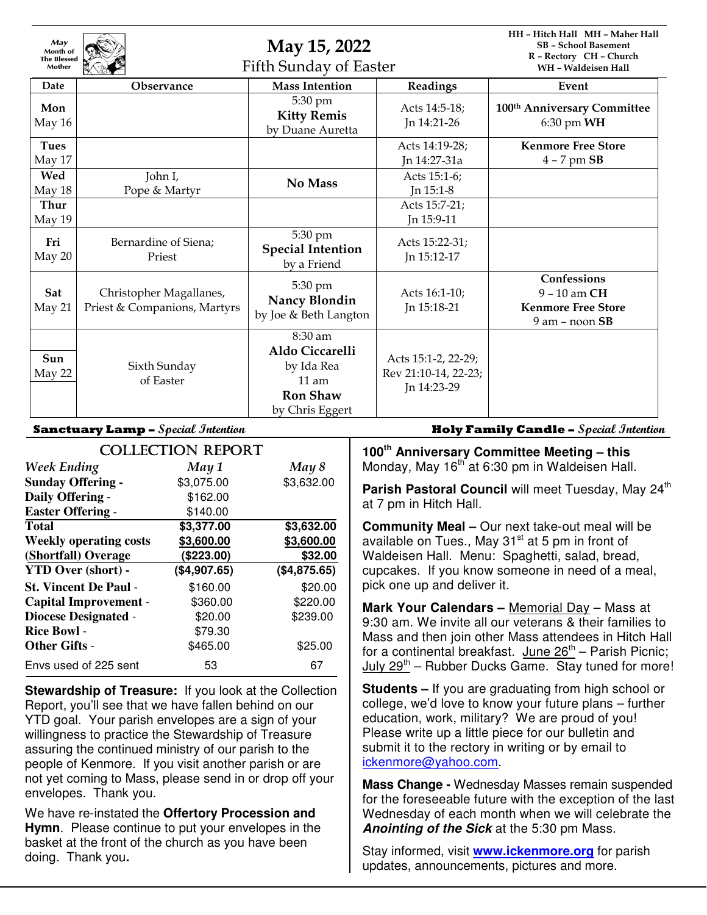| May<br>Month of<br><b>The Blessed</b><br>Mother |                                                         | May 15, 2022<br><b>Fifth Sunday of Easter</b>                                             |                                                            | HH - Hitch Hall MH - Maher Hall<br><b>SB</b> - School Basement<br>R - Rectory CH - Church<br>WH - Waldeisen Hall |
|-------------------------------------------------|---------------------------------------------------------|-------------------------------------------------------------------------------------------|------------------------------------------------------------|------------------------------------------------------------------------------------------------------------------|
| Date                                            | <b>Observance</b>                                       | <b>Mass Intention</b>                                                                     | Readings                                                   | Event                                                                                                            |
| Mon<br>May 16                                   |                                                         | 5:30 pm<br><b>Kitty Remis</b><br>by Duane Auretta                                         | Acts 14:5-18;<br>Jn 14:21-26                               | 100 <sup>th</sup> Anniversary Committee<br>$6:30$ pm WH                                                          |
| <b>Tues</b><br>May 17                           |                                                         |                                                                                           | Acts 14:19-28;<br>Jn 14:27-31a                             | <b>Kenmore Free Store</b><br>$4 - 7$ pm $SB$                                                                     |
| Wed<br>May 18                                   | John I,<br>Pope & Martyr                                | No Mass                                                                                   | Acts 15:1-6;<br>Jn 15:1-8                                  |                                                                                                                  |
| Thur<br>May 19                                  |                                                         |                                                                                           | Acts 15:7-21;<br>In 15:9-11                                |                                                                                                                  |
| Fri<br>May 20                                   | Bernardine of Siena;<br>Priest                          | 5:30 pm<br><b>Special Intention</b><br>by a Friend                                        | Acts 15:22-31;<br>In 15:12-17                              |                                                                                                                  |
| Sat<br>May 21                                   | Christopher Magallanes,<br>Priest & Companions, Martyrs | 5:30 pm<br><b>Nancy Blondin</b><br>by Joe & Beth Langton                                  | Acts 16:1-10;<br>Jn 15:18-21                               | Confessions<br>$9 - 10$ am CH<br><b>Kenmore Free Store</b><br>$9$ am $-$ noon $SB$                               |
| Sun<br>May 22                                   | Sixth Sunday<br>of Easter                               | 8:30 am<br>Aldo Ciccarelli<br>by Ida Rea<br>$11$ am<br><b>Ron Shaw</b><br>by Chris Eggert | Acts 15:1-2, 22-29;<br>Rev 21:10-14, 22-23;<br>In 14:23-29 |                                                                                                                  |

| <b>COLLECTION REPORT</b>      |              |              |  |  |
|-------------------------------|--------------|--------------|--|--|
| <b>Week Ending</b>            | May 1        | May 8        |  |  |
| <b>Sunday Offering -</b>      | \$3,075.00   | \$3,632.00   |  |  |
| Daily Offering -              | \$162.00     |              |  |  |
| <b>Easter Offering -</b>      | \$140.00     |              |  |  |
| Total                         | \$3,377.00   | \$3,632.00   |  |  |
| <b>Weekly operating costs</b> | \$3,600.00   | \$3,600.00   |  |  |
| (Shortfall) Overage           | (\$223.00)   | \$32.00      |  |  |
| <b>YTD Over (short) -</b>     | (\$4,907.65) | (\$4,875.65) |  |  |
| <b>St. Vincent De Paul -</b>  | \$160.00     | \$20.00      |  |  |
| <b>Capital Improvement -</b>  | \$360.00     | \$220.00     |  |  |
| <b>Diocese Designated -</b>   | \$20.00      | \$239.00     |  |  |
| <b>Rice Bowl -</b>            | \$79.30      |              |  |  |
| <b>Other Gifts -</b>          | \$465.00     | \$25.00      |  |  |
| Envs used of 225 sent         | 53           | 67           |  |  |

**Stewardship of Treasure:** If you look at the Collection Report, you'll see that we have fallen behind on our YTD goal. Your parish envelopes are a sign of your willingness to practice the Stewardship of Treasure assuring the continued ministry of our parish to the people of Kenmore. If you visit another parish or are not yet coming to Mass, please send in or drop off your envelopes. Thank you.

We have re-instated the **Offertory Procession and Hymn**. Please continue to put your envelopes in the basket at the front of the church as you have been doing. Thank you**.** 

**Sanctuary Lamp – Special Intention Holy Family Candle – Special Intention**

**100th Anniversary Committee Meeting – this**  Monday, May 16<sup>th</sup> at 6:30 pm in Waldeisen Hall.

Parish Pastoral Council will meet Tuesday, May 24<sup>th</sup> at 7 pm in Hitch Hall.

**Community Meal –** Our next take-out meal will be available on Tues., May  $31<sup>st</sup>$  at 5 pm in front of Waldeisen Hall. Menu: Spaghetti, salad, bread, cupcakes. If you know someone in need of a meal, pick one up and deliver it.

**Mark Your Calendars –** Memorial Day – Mass at 9:30 am. We invite all our veterans & their families to Mass and then join other Mass attendees in Hitch Hall for a continental breakfast. June  $26<sup>th</sup>$  – Parish Picnic; July 29<sup>th</sup> – Rubber Ducks Game. Stay tuned for more!

**Students –** If you are graduating from high school or college, we'd love to know your future plans – further education, work, military? We are proud of you! Please write up a little piece for our bulletin and submit it to the rectory in writing or by email to ickenmore@yahoo.com.

**Mass Change -** Wednesday Masses remain suspended for the foreseeable future with the exception of the last Wednesday of each month when we will celebrate the **Anointing of the Sick** at the 5:30 pm Mass.

Stay informed, visit **www.ickenmore.org** for parish updates, announcements, pictures and more.